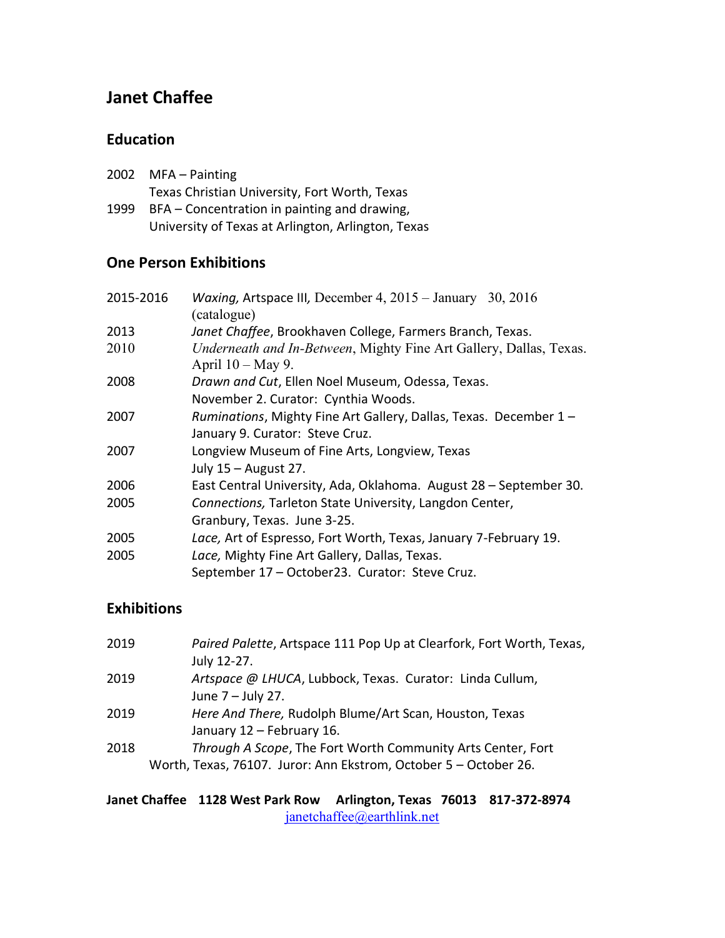# **Janet Chaffee**

### **Education**

| 2002 | MFA – Painting                                |
|------|-----------------------------------------------|
|      | Texas Christian University, Fort Worth, Texas |
| 1999 | BFA – Concentration in painting and drawing,  |

University of Texas at Arlington, Arlington, Texas

#### **One Person Exhibitions**

| 2015-2016 | Waxing, Artspace III, December 4, $2015 -$ January 30, 2016<br>(catalogue)                 |
|-----------|--------------------------------------------------------------------------------------------|
| 2013      | Janet Chaffee, Brookhaven College, Farmers Branch, Texas.                                  |
| 2010      | Underneath and In-Between, Mighty Fine Art Gallery, Dallas, Texas.<br>April $10 - May 9$ . |
| 2008      | Drawn and Cut, Ellen Noel Museum, Odessa, Texas.                                           |
|           | November 2. Curator: Cynthia Woods.                                                        |
| 2007      | Ruminations, Mighty Fine Art Gallery, Dallas, Texas. December 1 -                          |
|           | January 9. Curator: Steve Cruz.                                                            |
| 2007      | Longview Museum of Fine Arts, Longview, Texas                                              |
|           | July $15 -$ August 27.                                                                     |
| 2006      | East Central University, Ada, Oklahoma. August 28 - September 30.                          |
| 2005      | Connections, Tarleton State University, Langdon Center,                                    |
|           | Granbury, Texas. June 3-25.                                                                |
| 2005      | Lace, Art of Espresso, Fort Worth, Texas, January 7-February 19.                           |
| 2005      | Lace, Mighty Fine Art Gallery, Dallas, Texas.                                              |
|           | September 17 - October23. Curator: Steve Cruz.                                             |

## **Exhibitions**

| 2019 | Paired Palette, Artspace 111 Pop Up at Clearfork, Fort Worth, Texas, |
|------|----------------------------------------------------------------------|
|      | July 12-27.                                                          |
| 2019 | Artspace @ LHUCA, Lubbock, Texas. Curator: Linda Cullum,             |
|      | June 7 - July 27.                                                    |
| 2019 | Here And There, Rudolph Blume/Art Scan, Houston, Texas               |
|      | January 12 - February 16.                                            |
| 2018 | Through A Scope, The Fort Worth Community Arts Center, Fort          |
|      | Worth, Texas, 76107. Juror: Ann Ekstrom, October 5 - October 26.     |

#### **Janet Chaffee 1128 West Park Row Arlington, Texas 76013 817-372-8974**  [janetchaffee@earthlink.net](mailto:janetchaffee@earthlink.net)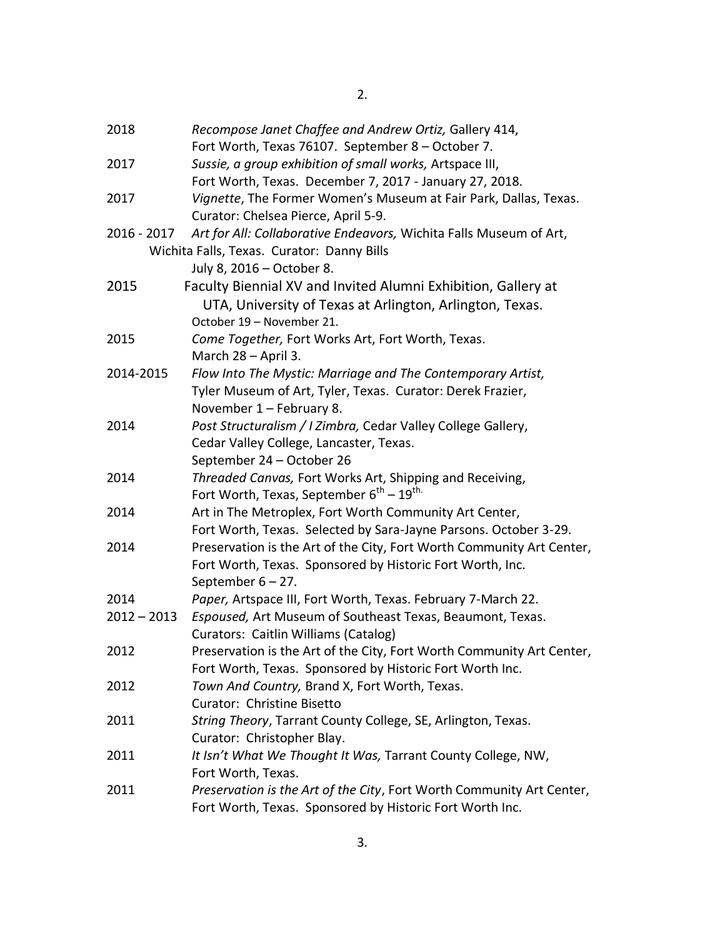| 2018          | Recompose Janet Chaffee and Andrew Ortiz, Gallery 414,                |
|---------------|-----------------------------------------------------------------------|
|               | Fort Worth, Texas 76107. September 8 - October 7.                     |
| 2017          | Sussie, a group exhibition of small works, Artspace III,              |
|               | Fort Worth, Texas. December 7, 2017 - January 27, 2018.               |
| 2017          | Vignette, The Former Women's Museum at Fair Park, Dallas, Texas.      |
|               | Curator: Chelsea Pierce, April 5-9.                                   |
| 2016 - 2017   | Art for All: Collaborative Endeavors, Wichita Falls Museum of Art,    |
|               | Wichita Falls, Texas. Curator: Danny Bills                            |
|               | July 8, 2016 – October 8.                                             |
| 2015          | Faculty Biennial XV and Invited Alumni Exhibition, Gallery at         |
|               | UTA, University of Texas at Arlington, Arlington, Texas.              |
|               | October 19 - November 21.                                             |
| 2015          | Come Together, Fort Works Art, Fort Worth, Texas.                     |
|               | March 28 - April 3.                                                   |
| 2014-2015     | Flow Into The Mystic: Marriage and The Contemporary Artist,           |
|               | Tyler Museum of Art, Tyler, Texas. Curator: Derek Frazier,            |
|               | November 1 - February 8.                                              |
| 2014          | Post Structuralism / I Zimbra, Cedar Valley College Gallery,          |
|               | Cedar Valley College, Lancaster, Texas.                               |
|               | September 24 - October 26                                             |
| 2014          | Threaded Canvas, Fort Works Art, Shipping and Receiving,              |
|               | Fort Worth, Texas, September $6^{th} - 19^{th}$ .                     |
| 2014          | Art in The Metroplex, Fort Worth Community Art Center,                |
|               | Fort Worth, Texas. Selected by Sara-Jayne Parsons. October 3-29.      |
| 2014          | Preservation is the Art of the City, Fort Worth Community Art Center, |
|               | Fort Worth, Texas. Sponsored by Historic Fort Worth, Inc.             |
|               | September 6 - 27.                                                     |
| 2014          | Paper, Artspace III, Fort Worth, Texas. February 7-March 22.          |
| $2012 - 2013$ | Espoused, Art Museum of Southeast Texas, Beaumont, Texas.             |
|               | Curators: Caitlin Williams (Catalog)                                  |
| 2012          | Preservation is the Art of the City, Fort Worth Community Art Center, |
|               | Fort Worth, Texas. Sponsored by Historic Fort Worth Inc.              |
| 2012          | Town And Country, Brand X, Fort Worth, Texas.                         |
|               | Curator: Christine Bisetto                                            |
| 2011          | String Theory, Tarrant County College, SE, Arlington, Texas.          |
|               | Curator: Christopher Blay.                                            |
| 2011          | It Isn't What We Thought It Was, Tarrant County College, NW,          |
|               | Fort Worth, Texas.                                                    |
| 2011          | Preservation is the Art of the City, Fort Worth Community Art Center, |
|               | Fort Worth, Texas. Sponsored by Historic Fort Worth Inc.              |
|               |                                                                       |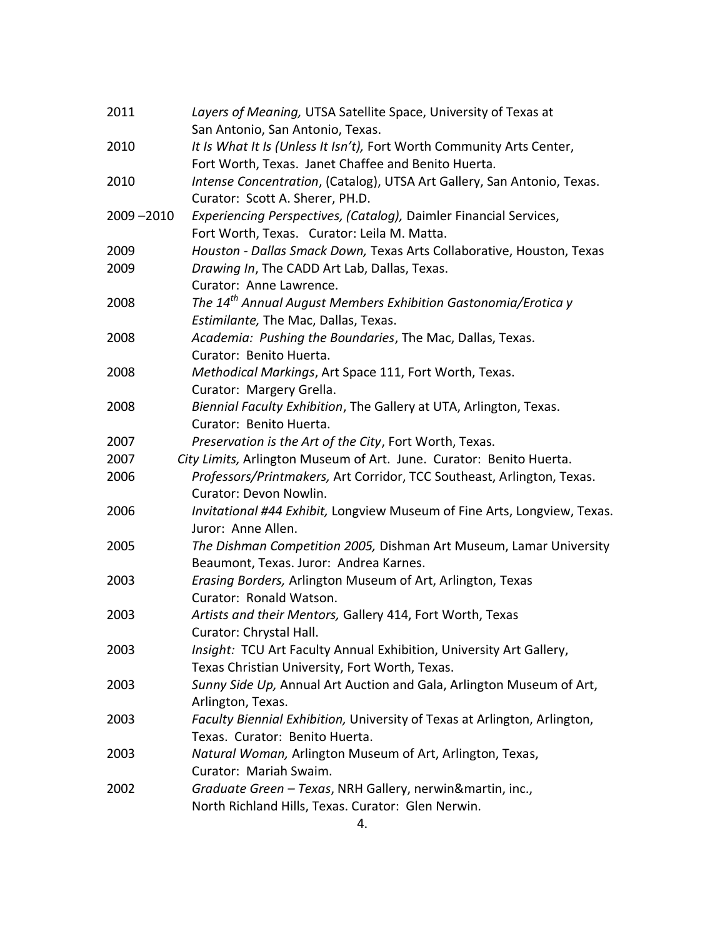| 2011          | Layers of Meaning, UTSA Satellite Space, University of Texas at            |
|---------------|----------------------------------------------------------------------------|
|               | San Antonio, San Antonio, Texas.                                           |
| 2010          | It Is What It Is (Unless It Isn't), Fort Worth Community Arts Center,      |
|               | Fort Worth, Texas. Janet Chaffee and Benito Huerta.                        |
| 2010          | Intense Concentration, (Catalog), UTSA Art Gallery, San Antonio, Texas.    |
|               | Curator: Scott A. Sherer, PH.D.                                            |
| $2009 - 2010$ | Experiencing Perspectives, (Catalog), Daimler Financial Services,          |
|               | Fort Worth, Texas. Curator: Leila M. Matta.                                |
| 2009          | Houston - Dallas Smack Down, Texas Arts Collaborative, Houston, Texas      |
| 2009          | Drawing In, The CADD Art Lab, Dallas, Texas.                               |
|               | Curator: Anne Lawrence.                                                    |
| 2008          | The 14 <sup>th</sup> Annual August Members Exhibition Gastonomia/Erotica y |
|               | Estimilante, The Mac, Dallas, Texas.                                       |
| 2008          | Academia: Pushing the Boundaries, The Mac, Dallas, Texas.                  |
|               | Curator: Benito Huerta.                                                    |
| 2008          | Methodical Markings, Art Space 111, Fort Worth, Texas.                     |
|               | Curator: Margery Grella.                                                   |
| 2008          | Biennial Faculty Exhibition, The Gallery at UTA, Arlington, Texas.         |
|               | Curator: Benito Huerta.                                                    |
| 2007          | Preservation is the Art of the City, Fort Worth, Texas.                    |
| 2007          | City Limits, Arlington Museum of Art. June. Curator: Benito Huerta.        |
| 2006          | Professors/Printmakers, Art Corridor, TCC Southeast, Arlington, Texas.     |
|               | Curator: Devon Nowlin.                                                     |
| 2006          | Invitational #44 Exhibit, Longview Museum of Fine Arts, Longview, Texas.   |
|               | Juror: Anne Allen.                                                         |
| 2005          | The Dishman Competition 2005, Dishman Art Museum, Lamar University         |
|               | Beaumont, Texas. Juror: Andrea Karnes.                                     |
| 2003          | Erasing Borders, Arlington Museum of Art, Arlington, Texas                 |
|               | Curator: Ronald Watson.                                                    |
| 2003          | Artists and their Mentors, Gallery 414, Fort Worth, Texas                  |
|               | Curator: Chrystal Hall.                                                    |
| 2003          | Insight: TCU Art Faculty Annual Exhibition, University Art Gallery,        |
|               | Texas Christian University, Fort Worth, Texas.                             |
| 2003          | Sunny Side Up, Annual Art Auction and Gala, Arlington Museum of Art,       |
|               | Arlington, Texas.                                                          |
| 2003          | Faculty Biennial Exhibition, University of Texas at Arlington, Arlington,  |
|               | Texas. Curator: Benito Huerta.                                             |
| 2003          | Natural Woman, Arlington Museum of Art, Arlington, Texas,                  |
|               | Curator: Mariah Swaim.                                                     |
| 2002          | Graduate Green - Texas, NRH Gallery, nerwin&martin, inc.,                  |
|               | North Richland Hills, Texas. Curator: Glen Nerwin.                         |
|               |                                                                            |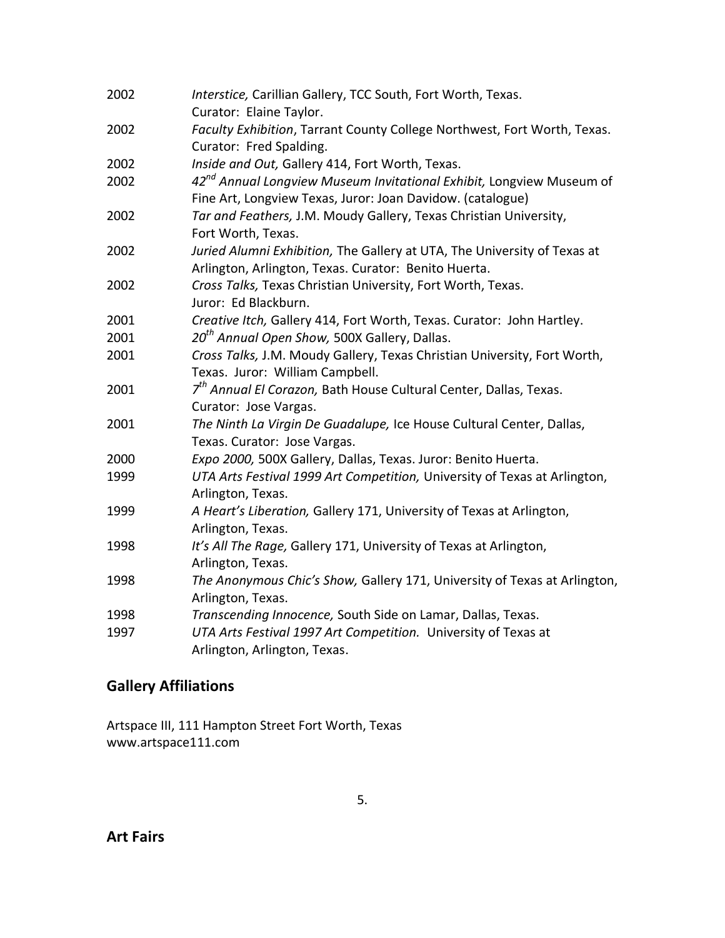| 2002 | Interstice, Carillian Gallery, TCC South, Fort Worth, Texas.                                                                                   |
|------|------------------------------------------------------------------------------------------------------------------------------------------------|
|      | Curator: Elaine Taylor.                                                                                                                        |
| 2002 | Faculty Exhibition, Tarrant County College Northwest, Fort Worth, Texas.                                                                       |
|      | Curator: Fred Spalding.                                                                                                                        |
| 2002 | Inside and Out, Gallery 414, Fort Worth, Texas.                                                                                                |
| 2002 | 42 <sup>nd</sup> Annual Longview Museum Invitational Exhibit, Longview Museum of<br>Fine Art, Longview Texas, Juror: Joan Davidow. (catalogue) |
| 2002 | Tar and Feathers, J.M. Moudy Gallery, Texas Christian University,<br>Fort Worth, Texas.                                                        |
| 2002 | Juried Alumni Exhibition, The Gallery at UTA, The University of Texas at<br>Arlington, Arlington, Texas. Curator: Benito Huerta.               |
| 2002 | Cross Talks, Texas Christian University, Fort Worth, Texas.                                                                                    |
|      | Juror: Ed Blackburn.                                                                                                                           |
| 2001 | Creative Itch, Gallery 414, Fort Worth, Texas. Curator: John Hartley.                                                                          |
| 2001 | 20 <sup>th</sup> Annual Open Show, 500X Gallery, Dallas.                                                                                       |
| 2001 | Cross Talks, J.M. Moudy Gallery, Texas Christian University, Fort Worth,<br>Texas. Juror: William Campbell.                                    |
| 2001 | 7 <sup>th</sup> Annual El Corazon, Bath House Cultural Center, Dallas, Texas.                                                                  |
|      | Curator: Jose Vargas.                                                                                                                          |
| 2001 | The Ninth La Virgin De Guadalupe, Ice House Cultural Center, Dallas,                                                                           |
|      | Texas. Curator: Jose Vargas.                                                                                                                   |
| 2000 | Expo 2000, 500X Gallery, Dallas, Texas. Juror: Benito Huerta.                                                                                  |
| 1999 | UTA Arts Festival 1999 Art Competition, University of Texas at Arlington,                                                                      |
|      | Arlington, Texas.                                                                                                                              |
| 1999 | A Heart's Liberation, Gallery 171, University of Texas at Arlington,                                                                           |
|      | Arlington, Texas.                                                                                                                              |
| 1998 | It's All The Rage, Gallery 171, University of Texas at Arlington,                                                                              |
|      | Arlington, Texas.                                                                                                                              |
| 1998 | The Anonymous Chic's Show, Gallery 171, University of Texas at Arlington,                                                                      |
|      | Arlington, Texas.                                                                                                                              |
| 1998 | Transcending Innocence, South Side on Lamar, Dallas, Texas.                                                                                    |
| 1997 | UTA Arts Festival 1997 Art Competition. University of Texas at                                                                                 |
|      | Arlington, Arlington, Texas.                                                                                                                   |

# **Gallery Affiliations**

Artspace III, 111 Hampton Street Fort Worth, Texas www.artspace111.com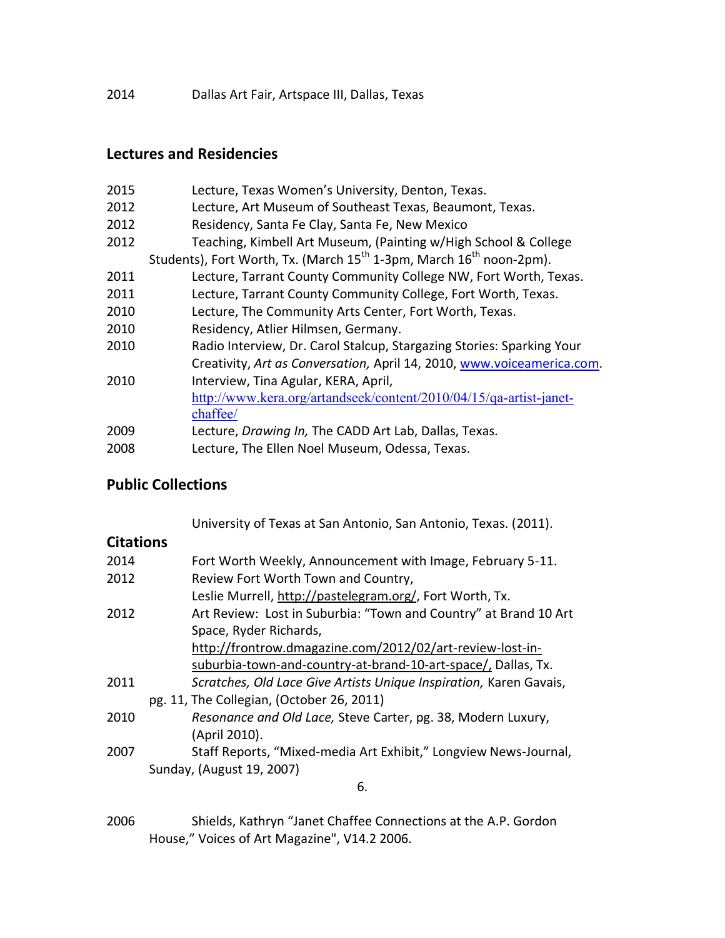2014 Dallas Art Fair, Artspace III, Dallas, Texas

### **Lectures and Residencies**

| 2015 | Lecture, Texas Women's University, Denton, Texas.                                           |
|------|---------------------------------------------------------------------------------------------|
| 2012 | Lecture, Art Museum of Southeast Texas, Beaumont, Texas.                                    |
| 2012 | Residency, Santa Fe Clay, Santa Fe, New Mexico                                              |
| 2012 | Teaching, Kimbell Art Museum, (Painting w/High School & College                             |
|      | Students), Fort Worth, Tx. (March 15 <sup>th</sup> 1-3pm, March 16 <sup>th</sup> noon-2pm). |
| 2011 | Lecture, Tarrant County Community College NW, Fort Worth, Texas.                            |
| 2011 | Lecture, Tarrant County Community College, Fort Worth, Texas.                               |
| 2010 | Lecture, The Community Arts Center, Fort Worth, Texas.                                      |
| 2010 | Residency, Atlier Hilmsen, Germany.                                                         |
| 2010 | Radio Interview, Dr. Carol Stalcup, Stargazing Stories: Sparking Your                       |
|      | Creativity, Art as Conversation, April 14, 2010, www.voiceamerica.com.                      |
| 2010 | Interview, Tina Agular, KERA, April,                                                        |
|      | http://www.kera.org/artandseek/content/2010/04/15/qa-artist-janet-                          |
|      | chaffee/                                                                                    |
| 2009 | Lecture, Drawing In, The CADD Art Lab, Dallas, Texas.                                       |
| 2008 | Lecture, The Ellen Noel Museum, Odessa, Texas.                                              |

### **Public Collections**

University of Texas at San Antonio, San Antonio, Texas. (2011).

#### **Citations**

| 2014 | Fort Worth Weekly, Announcement with Image, February 5-11.         |
|------|--------------------------------------------------------------------|
| 2012 | Review Fort Worth Town and Country,                                |
|      | Leslie Murrell, http://pastelegram.org/, Fort Worth, Tx.           |
| 2012 | Art Review: Lost in Suburbia: "Town and Country" at Brand 10 Art   |
|      | Space, Ryder Richards,                                             |
|      | http://frontrow.dmagazine.com/2012/02/art-review-lost-in-          |
|      | suburbia-town-and-country-at-brand-10-art-space/, Dallas, Tx.      |
| 2011 | Scratches, Old Lace Give Artists Unique Inspiration, Karen Gavais, |
|      | pg. 11, The Collegian, (October 26, 2011)                          |
| 2010 | Resonance and Old Lace, Steve Carter, pg. 38, Modern Luxury,       |
|      | (April 2010).                                                      |
| 2007 | Staff Reports, "Mixed-media Art Exhibit," Longview News-Journal,   |
|      | Sunday, (August 19, 2007)                                          |
|      | 6.                                                                 |

2006 Shields, Kathryn "Janet Chaffee Connections at the A.P. Gordon House," Voices of Art Magazine", V14.2 2006.